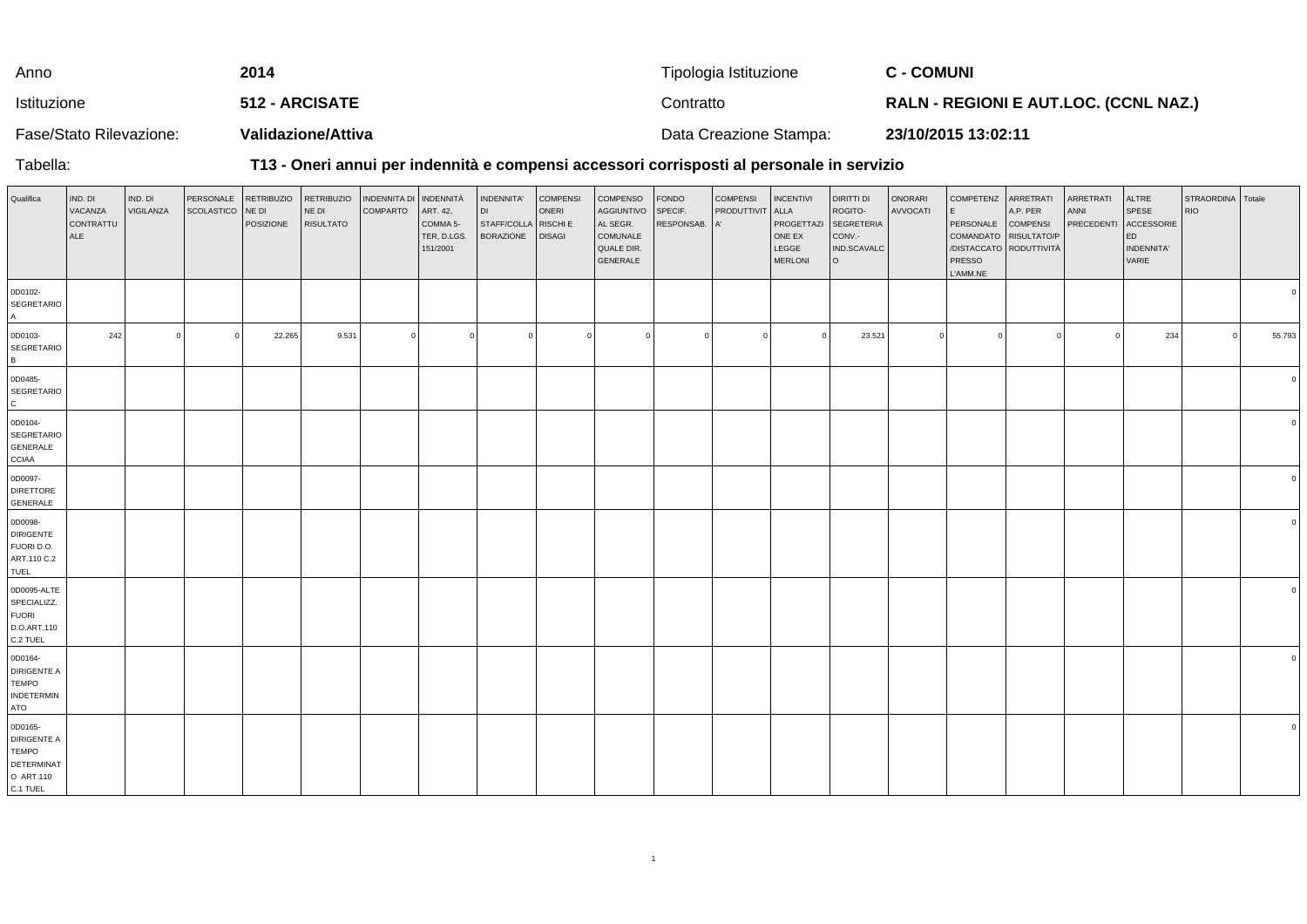| Anno                    | 2014               | Tipologia Istituzione  | <b>C - COMUNI</b>                            |
|-------------------------|--------------------|------------------------|----------------------------------------------|
| Istituzione             | 512 - ARCISATE     | Contratto              | <b>RALN - REGIONI E AUT.LOC. (CCNL NAZ.)</b> |
| Fase/Stato Rilevazione: | Validazione/Attiva | Data Creazione Stampa: | 23/10/2015 13:02:11                          |

Tabella:

## **T13 - Oneri annui per indennità e compensi accessori corrisposti al personale in servizio**

| Qualifica                                                                     | IND. DI<br>VACANZA<br>CONTRATTU<br><b>ALE</b> | IND. DI<br>VIGILANZA | PERSONALE<br>SCOLASTICO NE DI | <b>RETRIBUZIO</b><br>POSIZIONE | <b>RETRIBUZIO</b><br>NE DI<br><b>RISULTATO</b> | INDENNITA DI INDENNITÀ<br><b>COMPARTO</b> | ART. 42,<br>COMMA 5-<br>TER, D.LGS.<br>151/2001 | INDENNITA'<br>DI<br>STAFF/COLLA RISCHI E<br><b>BORAZIONE</b> | <b>COMPENSI</b><br>ONERI<br><b>DISAGI</b> | <b>COMPENSO</b><br>AGGIUNTIVO<br>AL SEGR.<br>COMUNALE<br>QUALE DIR.<br>GENERALE | FONDO<br>SPECIF.<br>RESPONSAB. A' | <b>COMPENSI</b><br><b>PRODUTTIVIT</b> | <b>INCENTIVI</b><br>ALLA<br>PROGETTAZI<br>ONE EX<br>LEGGE<br><b>MERLONI</b> | <b>DIRITTI DI</b><br>ROGITO-<br>SEGRETERIA<br>CONV.-<br>IND.SCAVALC<br>l o | ONORARI<br>AVVOCATI | COMPETENZ ARRETRATI<br>E<br>PERSONALE COMPENSI<br>COMANDATO RISULTATO/P<br>PRESSO<br>L'AMM.NE | A.P. PER<br>/DISTACCATO RODUTTIVITÀ | ARRETRATI<br>ANNI<br>PRECEDENTI | ALTRE<br>SPESE<br>ACCESSORIE<br>ED<br>INDENNITA'<br>VARIE | STRAORDINA Totale<br><b>RIO</b> |            |
|-------------------------------------------------------------------------------|-----------------------------------------------|----------------------|-------------------------------|--------------------------------|------------------------------------------------|-------------------------------------------|-------------------------------------------------|--------------------------------------------------------------|-------------------------------------------|---------------------------------------------------------------------------------|-----------------------------------|---------------------------------------|-----------------------------------------------------------------------------|----------------------------------------------------------------------------|---------------------|-----------------------------------------------------------------------------------------------|-------------------------------------|---------------------------------|-----------------------------------------------------------|---------------------------------|------------|
| 0D0102-<br>SEGRETARIO<br>$\mathsf{A}$                                         |                                               |                      |                               |                                |                                                |                                           |                                                 |                                                              |                                           |                                                                                 |                                   |                                       |                                                                             |                                                                            |                     |                                                                                               |                                     |                                 |                                                           |                                 |            |
| 0D0103-<br>SEGRETARIO<br>B <sub>1</sub>                                       | 242                                           | $\Omega$             | $\overline{0}$                | 22.265                         | 9.531                                          | $\Omega$                                  |                                                 | - 0                                                          | $\overline{0}$                            | $\Omega$                                                                        | $\Omega$                          |                                       |                                                                             | 23.521                                                                     | $\Omega$            | $\circ$                                                                                       |                                     |                                 | 234                                                       |                                 | 55.793     |
| 0D0485-<br>SEGRETARIO<br>$\mathbf{C}$                                         |                                               |                      |                               |                                |                                                |                                           |                                                 |                                                              |                                           |                                                                                 |                                   |                                       |                                                                             |                                                                            |                     |                                                                                               |                                     |                                 |                                                           |                                 |            |
| 0D0104-<br>SEGRETARIO<br>GENERALE<br><b>CCIAA</b>                             |                                               |                      |                               |                                |                                                |                                           |                                                 |                                                              |                                           |                                                                                 |                                   |                                       |                                                                             |                                                                            |                     |                                                                                               |                                     |                                 |                                                           |                                 |            |
| 0D0097-<br><b>DIRETTORE</b><br>GENERALE                                       |                                               |                      |                               |                                |                                                |                                           |                                                 |                                                              |                                           |                                                                                 |                                   |                                       |                                                                             |                                                                            |                     |                                                                                               |                                     |                                 |                                                           |                                 |            |
| 0D0098-<br>DIRIGENTE<br>FUORI D.O.<br>ART.110 C.2<br>TUEL                     |                                               |                      |                               |                                |                                                |                                           |                                                 |                                                              |                                           |                                                                                 |                                   |                                       |                                                                             |                                                                            |                     |                                                                                               |                                     |                                 |                                                           |                                 |            |
| 0D0095-ALTE<br>SPECIALIZZ.<br><b>FUORI</b><br>D.O.ART.110<br>C.2 TUEL         |                                               |                      |                               |                                |                                                |                                           |                                                 |                                                              |                                           |                                                                                 |                                   |                                       |                                                                             |                                                                            |                     |                                                                                               |                                     |                                 |                                                           |                                 |            |
| 0D0164-<br>DIRIGENTE A<br><b>TEMPO</b><br><b>INDETERMIN</b><br>ATO            |                                               |                      |                               |                                |                                                |                                           |                                                 |                                                              |                                           |                                                                                 |                                   |                                       |                                                                             |                                                                            |                     |                                                                                               |                                     |                                 |                                                           |                                 | $\epsilon$ |
| 0D0165-<br>DIRIGENTE A<br><b>TEMPO</b><br>DETERMINAT<br>O ART.110<br>C.1 TUEL |                                               |                      |                               |                                |                                                |                                           |                                                 |                                                              |                                           |                                                                                 |                                   |                                       |                                                                             |                                                                            |                     |                                                                                               |                                     |                                 |                                                           |                                 | $\epsilon$ |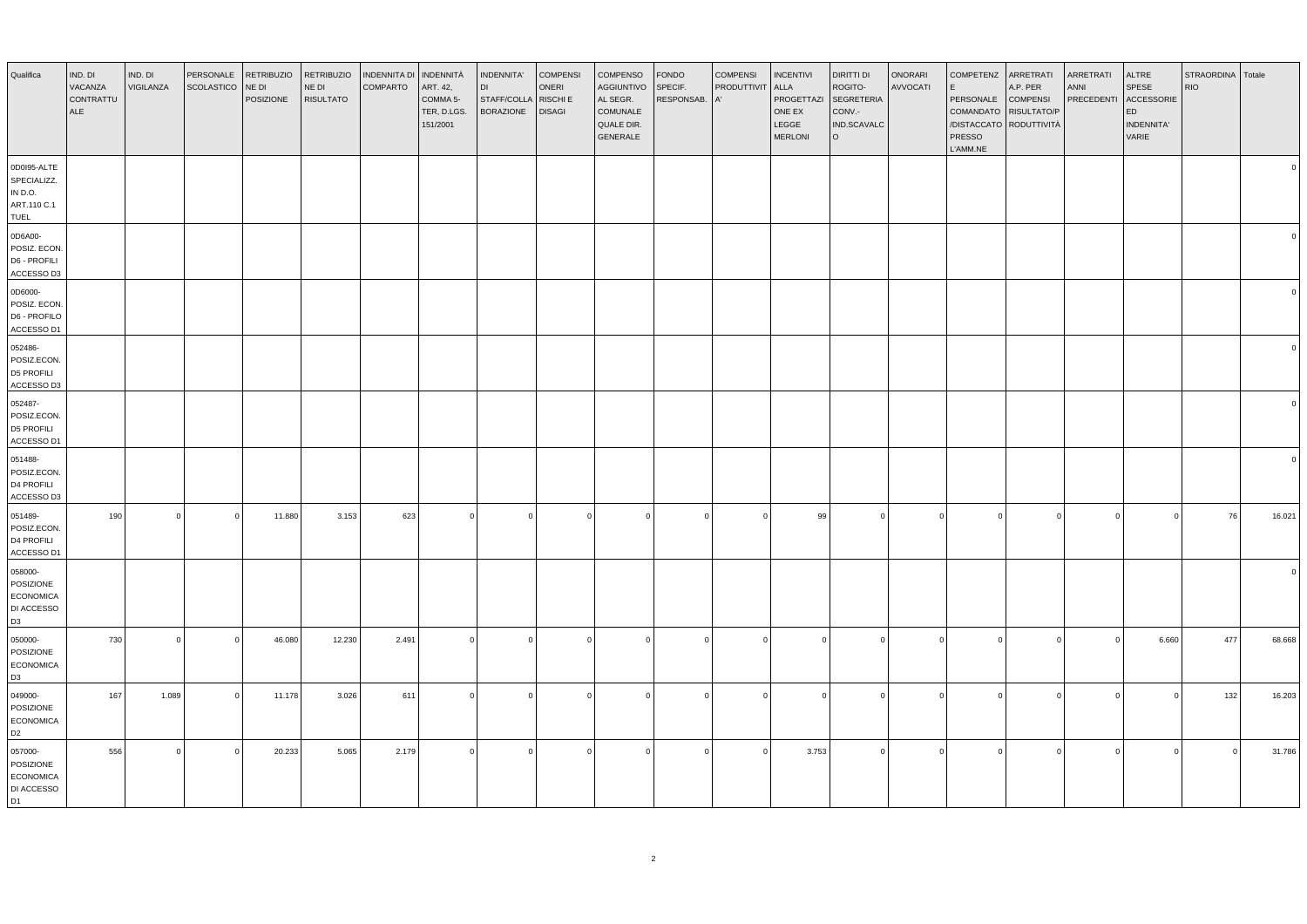| Qualifica                                                                | IND. DI<br>VACANZA<br>CONTRATTU<br>ALE | IND. DI<br>VIGILANZA | PERSONALE<br><b>SCOLASTICO</b> | RETRIBUZIO<br>NE DI<br>POSIZIONE | <b>RETRIBUZIO</b><br>NE DI<br><b>RISULTATO</b> | <b>INDENNITA DI</b><br><b>COMPARTO</b> | INDENNITÀ<br>ART. 42,<br>COMMA 5-<br>TER, D.LGS.<br>151/2001 | INDENNITA'<br><b>DI</b><br>STAFF/COLLA<br><b>BORAZIONE</b> | <b>COMPENSI</b><br>ONERI<br>RISCHI E<br><b>DISAGI</b> | COMPENSO<br><b>AGGIUNTIVO</b><br>AL SEGR.<br>COMUNALE<br>QUALE DIR.<br>GENERALE | <b>FONDO</b><br>SPECIF.<br>RESPONSAB. | <b>COMPENSI</b><br>PRODUTTIVIT<br>A' | <b>INCENTIVI</b><br><b>ALLA</b><br>PROGETTAZI<br>ONE EX<br>LEGGE<br><b>MERLONI</b> | DIRITTI DI<br>ROGITO-<br><b>SEGRETERIA</b><br>CONV.-<br>IND.SCAVALC<br>l o | ONORARI<br>AVVOCATI | <b>COMPETENZ</b><br>l E<br>PERSONALE<br>COMANDATO RISULTATO/P<br>/DISTACCATO RODUTTIVITÀ<br>PRESSO<br>L'AMM.NE | ARRETRATI<br>A.P. PER<br><b>COMPENSI</b> | ARRETRATI<br>ANNI<br>PRECEDENTI | ALTRE<br>SPESE<br>ACCESSORIE<br>ED<br>INDENNITA'<br>VARIE | STRAORDINA<br><b>RIO</b> | Totale   |
|--------------------------------------------------------------------------|----------------------------------------|----------------------|--------------------------------|----------------------------------|------------------------------------------------|----------------------------------------|--------------------------------------------------------------|------------------------------------------------------------|-------------------------------------------------------|---------------------------------------------------------------------------------|---------------------------------------|--------------------------------------|------------------------------------------------------------------------------------|----------------------------------------------------------------------------|---------------------|----------------------------------------------------------------------------------------------------------------|------------------------------------------|---------------------------------|-----------------------------------------------------------|--------------------------|----------|
| 0D0I95-ALTE<br>SPECIALIZZ.<br>IN D.O.<br>ART.110 C.1<br>TUEL             |                                        |                      |                                |                                  |                                                |                                        |                                                              |                                                            |                                                       |                                                                                 |                                       |                                      |                                                                                    |                                                                            |                     |                                                                                                                |                                          |                                 |                                                           |                          |          |
| 0D6A00-<br>POSIZ. ECON<br>D6 - PROFILI<br>ACCESSO D3                     |                                        |                      |                                |                                  |                                                |                                        |                                                              |                                                            |                                                       |                                                                                 |                                       |                                      |                                                                                    |                                                                            |                     |                                                                                                                |                                          |                                 |                                                           |                          |          |
| 0D6000-<br>POSIZ. ECON.<br>D6 - PROFILO<br>ACCESSO D1                    |                                        |                      |                                |                                  |                                                |                                        |                                                              |                                                            |                                                       |                                                                                 |                                       |                                      |                                                                                    |                                                                            |                     |                                                                                                                |                                          |                                 |                                                           |                          |          |
| 052486-<br>POSIZ.ECON.<br>D5 PROFILI<br>ACCESSO D3                       |                                        |                      |                                |                                  |                                                |                                        |                                                              |                                                            |                                                       |                                                                                 |                                       |                                      |                                                                                    |                                                                            |                     |                                                                                                                |                                          |                                 |                                                           |                          |          |
| 052487-<br>POSIZ.ECON.<br>D5 PROFILI<br>ACCESSO D1                       |                                        |                      |                                |                                  |                                                |                                        |                                                              |                                                            |                                                       |                                                                                 |                                       |                                      |                                                                                    |                                                                            |                     |                                                                                                                |                                          |                                 |                                                           |                          |          |
| 051488-<br>POSIZ.ECON.<br>D4 PROFILI<br>ACCESSO D3                       |                                        |                      |                                |                                  |                                                |                                        |                                                              |                                                            |                                                       |                                                                                 |                                       |                                      |                                                                                    |                                                                            |                     |                                                                                                                |                                          |                                 |                                                           |                          | $\Omega$ |
| 051489-<br>POSIZ.ECON.<br>D4 PROFILI<br>ACCESSO D1                       | 190                                    | $\Omega$             | $\overline{0}$                 | 11.880                           | 3.153                                          | 623                                    | $\Omega$                                                     | $\Omega$                                                   | $\Omega$                                              |                                                                                 | $\Omega$                              | $\Omega$                             | 99                                                                                 | $\overline{0}$                                                             | $\Omega$            | $\Omega$                                                                                                       |                                          | $\Omega$                        | $\overline{0}$                                            | 76                       | 16.021   |
| 058000-<br>POSIZIONE<br><b>ECONOMICA</b><br>DI ACCESSO<br>D <sub>3</sub> |                                        |                      |                                |                                  |                                                |                                        |                                                              |                                                            |                                                       |                                                                                 |                                       |                                      |                                                                                    |                                                                            |                     |                                                                                                                |                                          |                                 |                                                           |                          |          |
| 050000-<br>POSIZIONE<br><b>ECONOMICA</b><br>D <sub>3</sub>               | 730                                    | $\Omega$             | $\overline{0}$                 | 46.080                           | 12.230                                         | 2.491                                  | $\Omega$                                                     | $\overline{0}$                                             | $\Omega$                                              | $\Omega$                                                                        | $\Omega$                              | $\Omega$                             | $\Omega$                                                                           | $\overline{0}$                                                             | $\Omega$            | $\Omega$                                                                                                       | $\Omega$                                 | $\Omega$                        | 6.660                                                     | 477                      | 68.668   |
| 049000-<br>POSIZIONE<br><b>ECONOMICA</b><br>D <sub>2</sub>               | 167                                    | 1.089                | $\overline{0}$                 | 11.178                           | 3.026                                          | 611                                    | $\Omega$                                                     | $\Omega$                                                   | $\Omega$                                              |                                                                                 | $\Omega$                              | $\Omega$                             | $\Omega$                                                                           | $\overline{0}$                                                             | $\Omega$            |                                                                                                                |                                          | $\Omega$                        | $\overline{0}$                                            | 132                      | 16.203   |
| 057000-<br>POSIZIONE<br><b>ECONOMICA</b><br>DI ACCESSO<br>D1             | 556                                    | $\Omega$             | $\Omega$                       | 20.233                           | 5.065                                          | 2.179                                  | $\Omega$                                                     | $\Omega$                                                   | $\Omega$                                              |                                                                                 | $\Omega$                              | $\Omega$                             | 3.753                                                                              | $\overline{0}$                                                             | $\Omega$            | $\Omega$                                                                                                       |                                          | $\Omega$                        | $\mathbf 0$                                               | $\Omega$                 | 31.786   |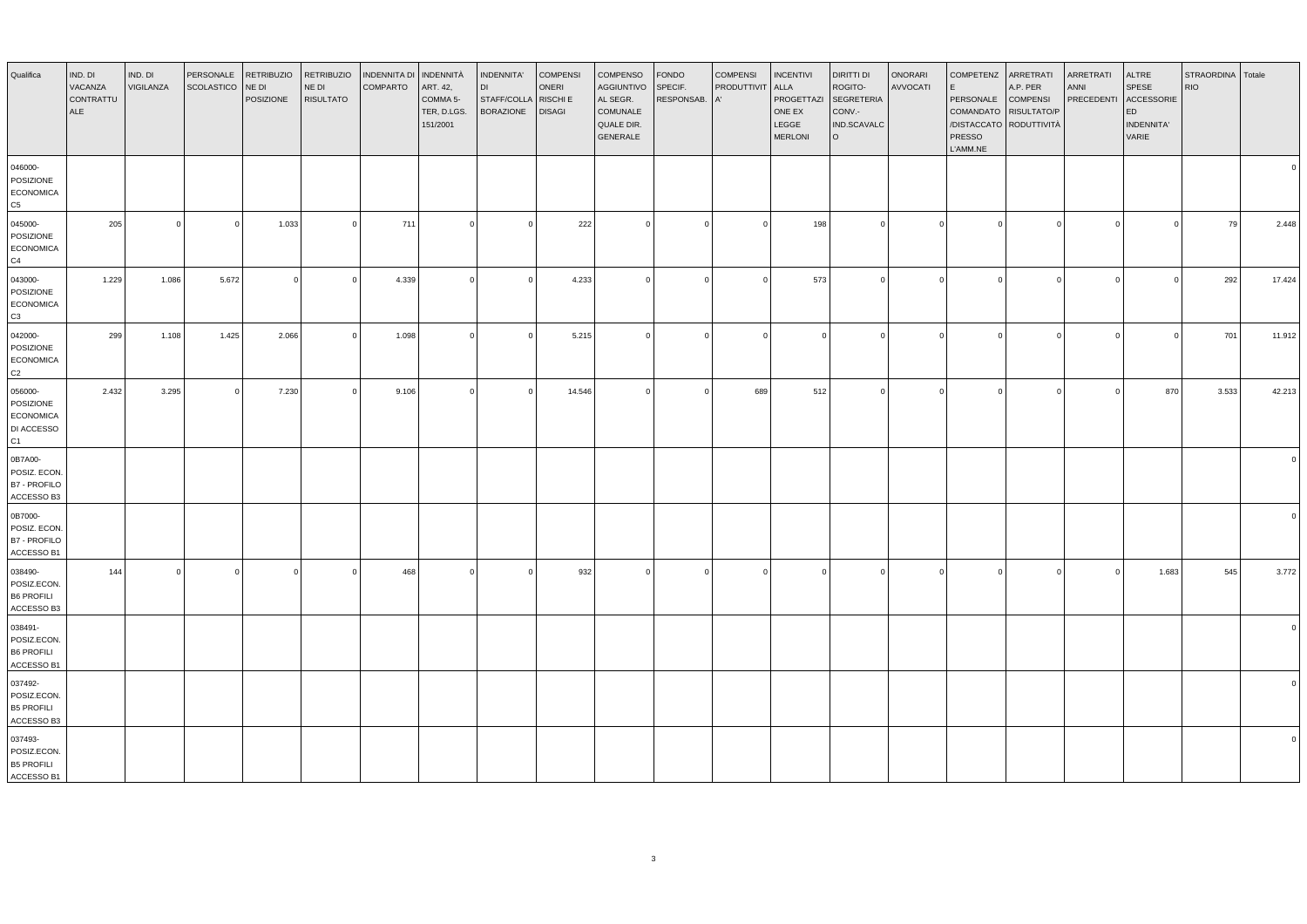| Qualifica                                                    | IND. DI<br>VACANZA<br>CONTRATTU<br>ALE | IND. DI<br>VIGILANZA | PERSONALE<br>SCOLASTICO | <b>RETRIBUZIO</b><br>NE DI<br>POSIZIONE | <b>RETRIBUZIO</b><br>NE DI<br><b>RISULTATO</b> | <b>INDENNITA DI</b><br><b>COMPARTO</b> | INDENNITÀ<br>ART. 42,<br>COMMA 5-<br>TER, D.LGS.<br>151/2001 | INDENNITA'<br><b>DI</b><br>STAFF/COLLA<br><b>BORAZIONE</b> | <b>COMPENSI</b><br>ONERI<br>RISCHI E<br><b>DISAGI</b> | COMPENSO<br>AGGIUNTIVO<br>AL SEGR.<br>COMUNALE<br>QUALE DIR.<br>GENERALE | <b>FONDO</b><br>SPECIF.<br>RESPONSAB. | <b>COMPENSI</b><br>PRODUTTIVIT | <b>INCENTIVI</b><br>ALLA<br>PROGETTAZI<br>ONE EX<br>LEGGE<br><b>MERLONI</b> | DIRITTI DI<br>ROGITO-<br><b>SEGRETERIA</b><br>CONV.-<br>IND.SCAVALC<br>l o | <b>ONORARI</b><br>AVVOCATI | COMPETENZ<br>PERSONALE<br><b>PRESSO</b><br>L'AMM.NE | ARRETRATI<br>A.P. PER<br><b>COMPENSI</b><br>COMANDATO RISULTATO/P<br>/DISTACCATO RODUTTIVITÀ | ARRETRATI<br><b>ANNI</b><br>PRECEDENTI | ALTRE<br>SPESE<br>ACCESSORIE<br>ED<br><b>INDENNITA'</b><br>VARIE | STRAORDINA Totale<br><b>RIO</b> |        |
|--------------------------------------------------------------|----------------------------------------|----------------------|-------------------------|-----------------------------------------|------------------------------------------------|----------------------------------------|--------------------------------------------------------------|------------------------------------------------------------|-------------------------------------------------------|--------------------------------------------------------------------------|---------------------------------------|--------------------------------|-----------------------------------------------------------------------------|----------------------------------------------------------------------------|----------------------------|-----------------------------------------------------|----------------------------------------------------------------------------------------------|----------------------------------------|------------------------------------------------------------------|---------------------------------|--------|
| 046000-<br>POSIZIONE<br><b>ECONOMICA</b><br>C5               |                                        |                      |                         |                                         |                                                |                                        |                                                              |                                                            |                                                       |                                                                          |                                       |                                |                                                                             |                                                                            |                            |                                                     |                                                                                              |                                        |                                                                  |                                 |        |
| 045000-<br>POSIZIONE<br><b>ECONOMICA</b><br>C <sub>4</sub>   | 205                                    |                      | $\Omega$                | 1.033                                   | $\Omega$                                       | 711                                    | $\Omega$                                                     | $\Omega$                                                   | 222                                                   |                                                                          | $\circ$                               | $\Omega$                       | 198                                                                         | $\Omega$                                                                   |                            | $\Omega$                                            |                                                                                              | $\Omega$                               | $\Omega$                                                         | 79                              | 2.448  |
| 043000-<br>POSIZIONE<br><b>ECONOMICA</b><br>C <sub>3</sub>   | 1.229                                  | 1.086                | 5.672                   | $\circ$                                 |                                                | 4.339                                  | $\Omega$                                                     | $\Omega$                                                   | 4.233                                                 |                                                                          | $\overline{0}$                        | $\Omega$                       | 573                                                                         | 0                                                                          | $\Omega$                   | $\Omega$                                            | $\sqrt{ }$                                                                                   | $\Omega$                               | $\Omega$                                                         | 292                             | 17.424 |
| 042000-<br>POSIZIONE<br><b>ECONOMICA</b><br>C <sub>2</sub>   | 299                                    | 1.108                | 1.425                   | 2.066                                   | $\Omega$                                       | 1.098                                  | $\circ$                                                      | $\overline{0}$                                             | 5.215                                                 | $\Omega$                                                                 | $\circ$                               | $\Omega$                       | $\Omega$                                                                    | ol                                                                         | $\Omega$                   | $\Omega$                                            | $\Omega$                                                                                     | $\Omega$                               | $\circ$                                                          | 701                             | 11.912 |
| 056000-<br>POSIZIONE<br><b>ECONOMICA</b><br>DI ACCESSO<br>C1 | 2.432                                  | 3.295                | $\Omega$                | 7.230                                   |                                                | 9.106                                  | $\Omega$                                                     | $\Omega$                                                   | 14.546                                                | $\Omega$                                                                 | $\circ$                               | 689                            | 512                                                                         | $\circ$                                                                    | $\Omega$                   | $\Omega$                                            | $\sqrt{ }$                                                                                   | $\Omega$                               | 870                                                              | 3.533                           | 42.213 |
| 0B7A00-<br>POSIZ. ECON.<br><b>B7 - PROFILO</b><br>ACCESSO B3 |                                        |                      |                         |                                         |                                                |                                        |                                                              |                                                            |                                                       |                                                                          |                                       |                                |                                                                             |                                                                            |                            |                                                     |                                                                                              |                                        |                                                                  |                                 |        |
| 0B7000-<br>POSIZ. ECON.<br><b>B7 - PROFILO</b><br>ACCESSO B1 |                                        |                      |                         |                                         |                                                |                                        |                                                              |                                                            |                                                       |                                                                          |                                       |                                |                                                                             |                                                                            |                            |                                                     |                                                                                              |                                        |                                                                  |                                 |        |
| 038490-<br>POSIZ.ECON.<br><b>B6 PROFILI</b><br>ACCESSO B3    | 144                                    |                      | $\Omega$                | $\overline{0}$                          |                                                | 468                                    | $\Omega$                                                     | $\Omega$                                                   | 932                                                   |                                                                          | $\Omega$                              | $\Omega$                       | $\Omega$                                                                    | $\Omega$                                                                   |                            |                                                     |                                                                                              | $\Omega$                               | 1.683                                                            | 545                             | 3.772  |
| 038491-<br>POSIZ.ECON<br><b>B6 PROFILI</b><br>ACCESSO B1     |                                        |                      |                         |                                         |                                                |                                        |                                                              |                                                            |                                                       |                                                                          |                                       |                                |                                                                             |                                                                            |                            |                                                     |                                                                                              |                                        |                                                                  |                                 |        |
| 037492-<br>POSIZ.ECON.<br><b>B5 PROFILI</b><br>ACCESSO B3    |                                        |                      |                         |                                         |                                                |                                        |                                                              |                                                            |                                                       |                                                                          |                                       |                                |                                                                             |                                                                            |                            |                                                     |                                                                                              |                                        |                                                                  |                                 |        |
| 037493-<br>POSIZ.ECON.<br><b>B5 PROFILI</b><br>ACCESSO B1    |                                        |                      |                         |                                         |                                                |                                        |                                                              |                                                            |                                                       |                                                                          |                                       |                                |                                                                             |                                                                            |                            |                                                     |                                                                                              |                                        |                                                                  |                                 |        |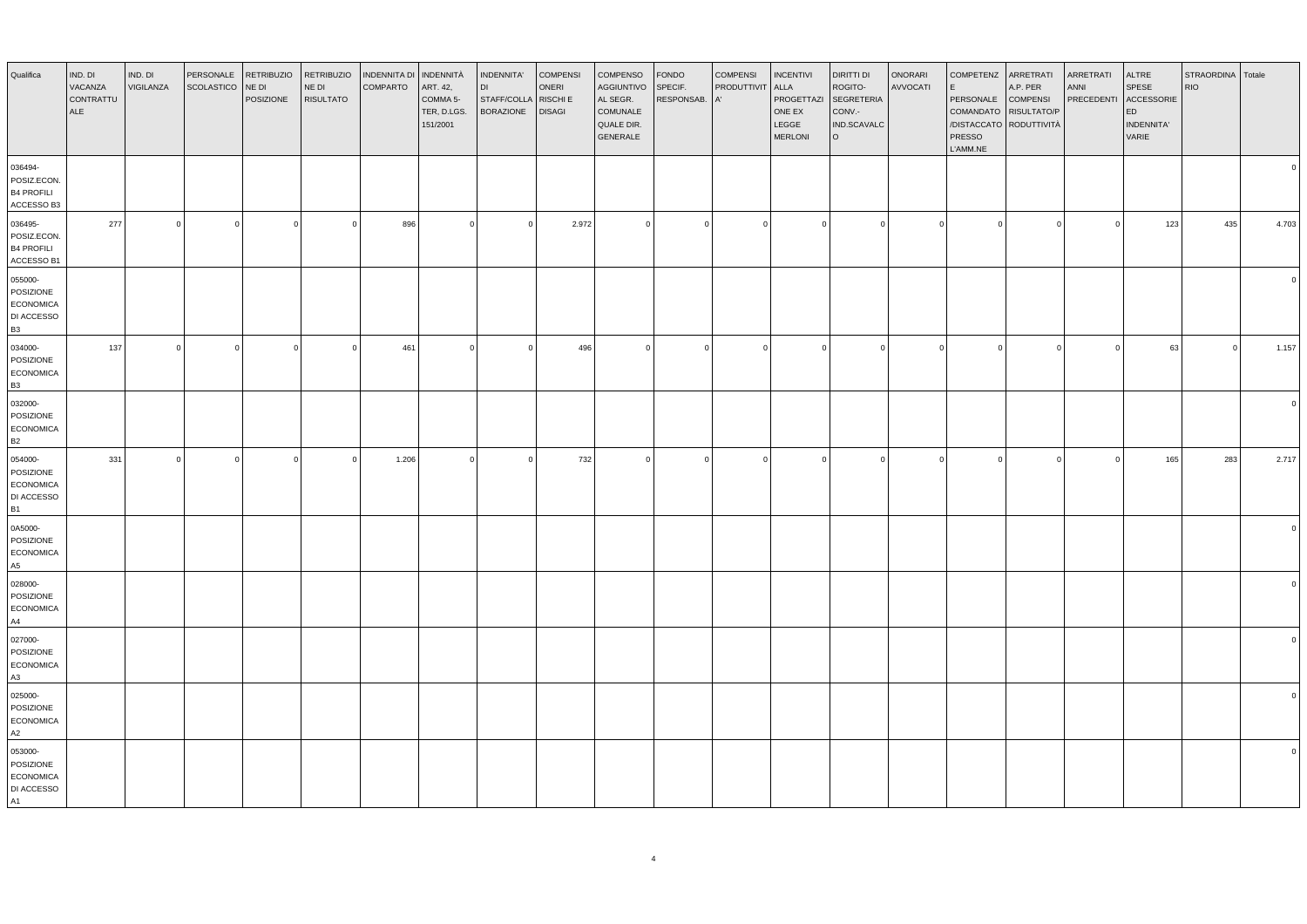| Qualifica                                                           | IND. DI<br>VACANZA<br>CONTRATTU<br>ALE | IND. DI<br>VIGILANZA    | PERSONALE<br>SCOLASTICO | <b>RETRIBUZIO</b><br>NE DI<br>POSIZIONE | <b>RETRIBUZIO</b><br>NE DI<br><b>RISULTATO</b> | INDENNITA DI<br><b>COMPARTO</b> | <b>INDENNITÀ</b><br>ART. 42,<br>COMMA 5-<br>TER, D.LGS.<br>151/2001 | INDENNITA'<br><b>DI</b><br>STAFF/COLLA<br><b>BORAZIONE</b> | <b>COMPENSI</b><br>ONERI<br>RISCHI E<br><b>DISAGI</b> | COMPENSO<br><b>AGGIUNTIVO</b><br>AL SEGR.<br>COMUNALE<br>QUALE DIR.<br>GENERALE | <b>FONDO</b><br>SPECIF.<br>RESPONSAB. | <b>COMPENSI</b><br>PRODUTTIVIT<br>A' | <b>INCENTIVI</b><br>ALLA<br>PROGETTAZI<br>ONE EX<br>LEGGE<br><b>MERLONI</b> | DIRITTI DI<br>ROGITO-<br><b>SEGRETERIA</b><br>CONV.-<br>IND.SCAVALC<br>lo. | ONORARI<br>AVVOCATI | <b>COMPETENZ</b><br>l E<br>PERSONALE<br>COMANDATO RISULTATO/P<br>/DISTACCATO RODUTTIVITÀ<br>PRESSO<br>L'AMM.NE | ARRETRATI<br>A.P. PER<br><b>COMPENSI</b> | ARRETRATI<br>ANNI<br>PRECEDENTI | ALTRE<br>SPESE<br>ACCESSORIE<br>ED<br>INDENNITA'<br>VARIE | STRAORDINA Totale<br><b>RIO</b> |          |
|---------------------------------------------------------------------|----------------------------------------|-------------------------|-------------------------|-----------------------------------------|------------------------------------------------|---------------------------------|---------------------------------------------------------------------|------------------------------------------------------------|-------------------------------------------------------|---------------------------------------------------------------------------------|---------------------------------------|--------------------------------------|-----------------------------------------------------------------------------|----------------------------------------------------------------------------|---------------------|----------------------------------------------------------------------------------------------------------------|------------------------------------------|---------------------------------|-----------------------------------------------------------|---------------------------------|----------|
| 036494-<br>POSIZ.ECON.<br><b>B4 PROFILI</b><br>ACCESSO B3           |                                        |                         |                         |                                         |                                                |                                 |                                                                     |                                                            |                                                       |                                                                                 |                                       |                                      |                                                                             |                                                                            |                     |                                                                                                                |                                          |                                 |                                                           |                                 |          |
| 036495-<br>POSIZ.ECON.<br><b>B4 PROFILI</b><br>ACCESSO B1           | 277                                    | $\overline{\mathbf{0}}$ | $\mathbf 0$             | $\circ$                                 | $\mathbf 0$                                    | 896                             | $\mathbf 0$                                                         | $\overline{0}$                                             | 2.972                                                 | $\circ$                                                                         | $\circ$                               | $\overline{0}$                       | $\mathbf 0$                                                                 | $\overline{0}$                                                             | $\mathbf 0$         | $\circ$                                                                                                        | $\circ$                                  | $\overline{0}$                  | 123                                                       | 435                             | 4.703    |
| 055000-<br>POSIZIONE<br><b>ECONOMICA</b><br>DI ACCESSO<br><b>B3</b> |                                        |                         |                         |                                         |                                                |                                 |                                                                     |                                                            |                                                       |                                                                                 |                                       |                                      |                                                                             |                                                                            |                     |                                                                                                                |                                          |                                 |                                                           |                                 |          |
| 034000-<br>POSIZIONE<br><b>ECONOMICA</b><br><b>B3</b>               | 137                                    | $\overline{0}$          | $\mathbf 0$             | $\circ$                                 | $\mathbf 0$                                    | 461                             | $\mathbf 0$                                                         | $\overline{0}$                                             | 496                                                   |                                                                                 | $\circ$                               | $\overline{0}$                       | $\mathbf 0$                                                                 | $\overline{0}$                                                             | $\mathbf 0$         | $\Omega$                                                                                                       | $\Omega$                                 | $\overline{0}$                  | 63                                                        | $\overline{0}$                  | 1.157    |
| 032000-<br>POSIZIONE<br><b>ECONOMICA</b><br><b>B2</b>               |                                        |                         |                         |                                         |                                                |                                 |                                                                     |                                                            |                                                       |                                                                                 |                                       |                                      |                                                                             |                                                                            |                     |                                                                                                                |                                          |                                 |                                                           |                                 | $\Omega$ |
| 054000-<br>POSIZIONE<br><b>ECONOMICA</b><br>DI ACCESSO<br><b>B1</b> | 331                                    | $\Omega$                | $\overline{0}$          | $\circ$                                 | $\Omega$                                       | 1.206                           | $\circ$                                                             | $\overline{0}$                                             | 732                                                   |                                                                                 | $\circ$                               | $\Omega$                             | $\Omega$                                                                    | $\Omega$                                                                   | $\Omega$            | $\Omega$                                                                                                       | $\Omega$                                 | $\Omega$                        | 165                                                       | 283                             | 2.717    |
| 0A5000-<br>POSIZIONE<br>ECONOMICA<br>A5                             |                                        |                         |                         |                                         |                                                |                                 |                                                                     |                                                            |                                                       |                                                                                 |                                       |                                      |                                                                             |                                                                            |                     |                                                                                                                |                                          |                                 |                                                           |                                 |          |
| 028000-<br>POSIZIONE<br><b>ECONOMICA</b><br>A4                      |                                        |                         |                         |                                         |                                                |                                 |                                                                     |                                                            |                                                       |                                                                                 |                                       |                                      |                                                                             |                                                                            |                     |                                                                                                                |                                          |                                 |                                                           |                                 |          |
| 027000-<br>POSIZIONE<br><b>ECONOMICA</b><br>A3                      |                                        |                         |                         |                                         |                                                |                                 |                                                                     |                                                            |                                                       |                                                                                 |                                       |                                      |                                                                             |                                                                            |                     |                                                                                                                |                                          |                                 |                                                           |                                 |          |
| 025000-<br>POSIZIONE<br><b>ECONOMICA</b><br>A2                      |                                        |                         |                         |                                         |                                                |                                 |                                                                     |                                                            |                                                       |                                                                                 |                                       |                                      |                                                                             |                                                                            |                     |                                                                                                                |                                          |                                 |                                                           |                                 |          |
| 053000-<br>POSIZIONE<br><b>ECONOMICA</b><br>DI ACCESSO<br>A1        |                                        |                         |                         |                                         |                                                |                                 |                                                                     |                                                            |                                                       |                                                                                 |                                       |                                      |                                                                             |                                                                            |                     |                                                                                                                |                                          |                                 |                                                           |                                 |          |

4